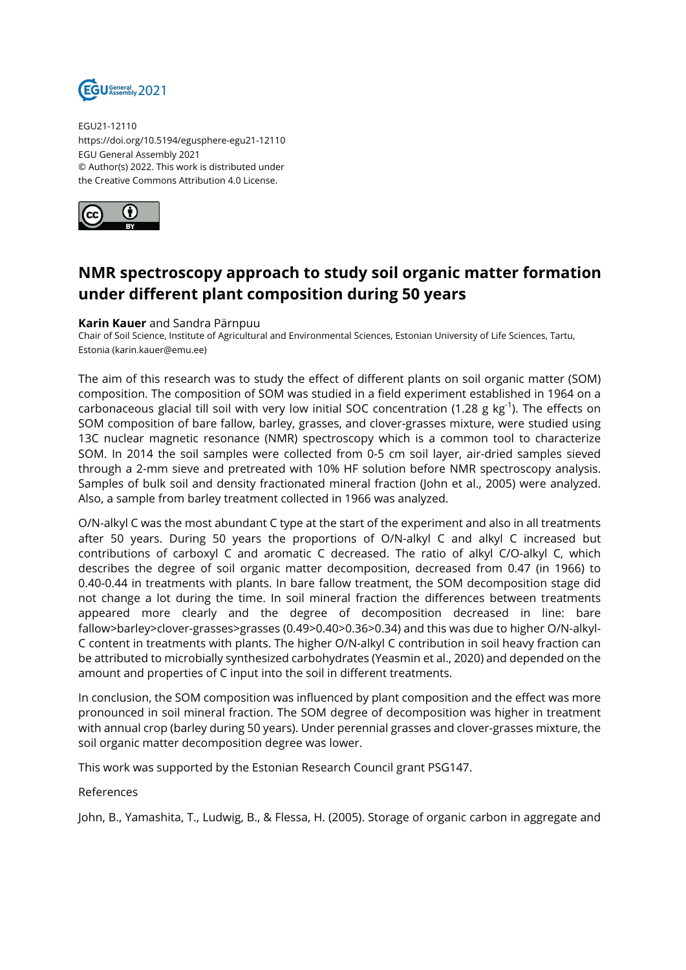

EGU21-12110 https://doi.org/10.5194/egusphere-egu21-12110 EGU General Assembly 2021 © Author(s) 2022. This work is distributed under the Creative Commons Attribution 4.0 License.



## **NMR spectroscopy approach to study soil organic matter formation under different plant composition during 50 years**

## **Karin Kauer** and Sandra Pärnpuu

Chair of Soil Science, Institute of Agricultural and Environmental Sciences, Estonian University of Life Sciences, Tartu, Estonia (karin.kauer@emu.ee)

The aim of this research was to study the effect of different plants on soil organic matter (SOM) composition. The composition of SOM was studied in a field experiment established in 1964 on a carbonaceous glacial till soil with very low initial SOC concentration (1.28 g kg<sup>-1</sup>). The effects on SOM composition of bare fallow, barley, grasses, and clover-grasses mixture, were studied using 13C nuclear magnetic resonance (NMR) spectroscopy which is a common tool to characterize SOM. In 2014 the soil samples were collected from 0-5 cm soil layer, air-dried samples sieved through a 2-mm sieve and pretreated with 10% HF solution before NMR spectroscopy analysis. Samples of bulk soil and density fractionated mineral fraction (John et al., 2005) were analyzed. Also, a sample from barley treatment collected in 1966 was analyzed.

O/N-alkyl C was the most abundant C type at the start of the experiment and also in all treatments after 50 years. During 50 years the proportions of O/N-alkyl C and alkyl C increased but contributions of carboxyl C and aromatic C decreased. The ratio of alkyl C/O-alkyl C, which describes the degree of soil organic matter decomposition, decreased from 0.47 (in 1966) to 0.40-0.44 in treatments with plants. In bare fallow treatment, the SOM decomposition stage did not change a lot during the time. In soil mineral fraction the differences between treatments appeared more clearly and the degree of decomposition decreased in line: bare fallow>barley>clover-grasses>grasses (0.49>0.40>0.36>0.34) and this was due to higher O/N-alkyl-C content in treatments with plants. The higher O/N-alkyl C contribution in soil heavy fraction can be attributed to microbially synthesized carbohydrates (Yeasmin et al., 2020) and depended on the amount and properties of C input into the soil in different treatments.

In conclusion, the SOM composition was influenced by plant composition and the effect was more pronounced in soil mineral fraction. The SOM degree of decomposition was higher in treatment with annual crop (barley during 50 years). Under perennial grasses and clover-grasses mixture, the soil organic matter decomposition degree was lower.

This work was supported by the Estonian Research Council grant PSG147.

References

John, B., Yamashita, T., Ludwig, B., & Flessa, H. (2005). Storage of organic carbon in aggregate and